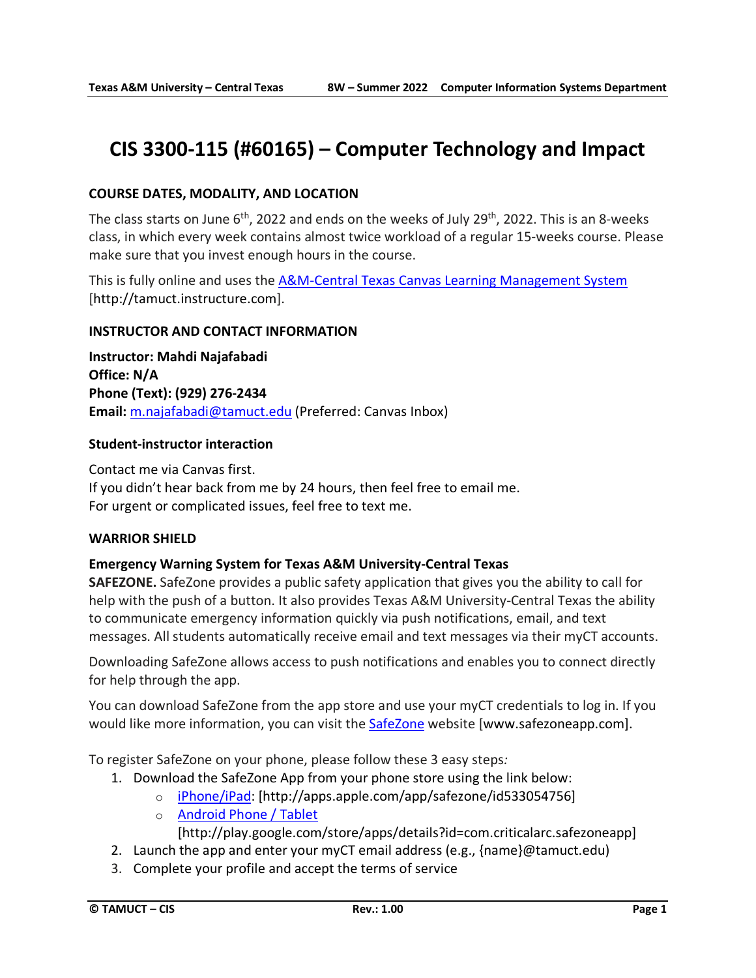# **CIS 3300-115 (#60165) – Computer Technology and Impact**

# **COURSE DATES, MODALITY, AND LOCATION**

The class starts on June 6<sup>th</sup>, 2022 and ends on the weeks of July 29<sup>th</sup>, 2022. This is an 8-weeks class, in which every week contains almost twice workload of a regular 15-weeks course. Please make sure that you invest enough hours in the course.

This is fully online and uses the [A&M-Central Texas Canvas Learning Management System](http://tamuct.instructure.com/) [http://tamuct.instructure.com].

#### **INSTRUCTOR AND CONTACT INFORMATION**

**Instructor: Mahdi Najafabadi Office: N/A Phone (Text): (929) 276-2434 Email:** [m.najafabadi@tamuct.edu](mailto:m.najafabadi@tamuct.edu) (Preferred: Canvas Inbox)

#### **Student-instructor interaction**

Contact me via Canvas first. If you didn't hear back from me by 24 hours, then feel free to email me. For urgent or complicated issues, feel free to text me.

#### **WARRIOR SHIELD**

#### **Emergency Warning System for Texas A&M University-Central Texas**

**SAFEZONE.** SafeZone provides a public safety application that gives you the ability to call for help with the push of a button. It also provides Texas A&M University-Central Texas the ability to communicate emergency information quickly via push notifications, email, and text messages. All students automatically receive email and text messages via their myCT accounts.

Downloading SafeZone allows access to push notifications and enables you to connect directly for help through the app.

You can download SafeZone from the app store and use your myCT credentials to log in. If you would like more information, you can visit the **[SafeZone](http://www.safezoneapp.com/) website [www.safezoneapp.com]**.

To register SafeZone on your phone, please follow these 3 easy steps*:*

- 1. Download the SafeZone App from your phone store using the link below:
	- o [iPhone/iPad:](https://apps.apple.com/app/safezone/id533054756) [http://apps.apple.com/app/safezone/id533054756]
	- o [Android Phone / Tablet](https://play.google.com/store/apps/details?id=com.criticalarc.safezoneapp) [http://play.google.com/store/apps/details?id=com.criticalarc.safezoneapp]
- 2. Launch the app and enter your myCT email address (e.g., {name}@tamuct.edu)
- 3. Complete your profile and accept the terms of service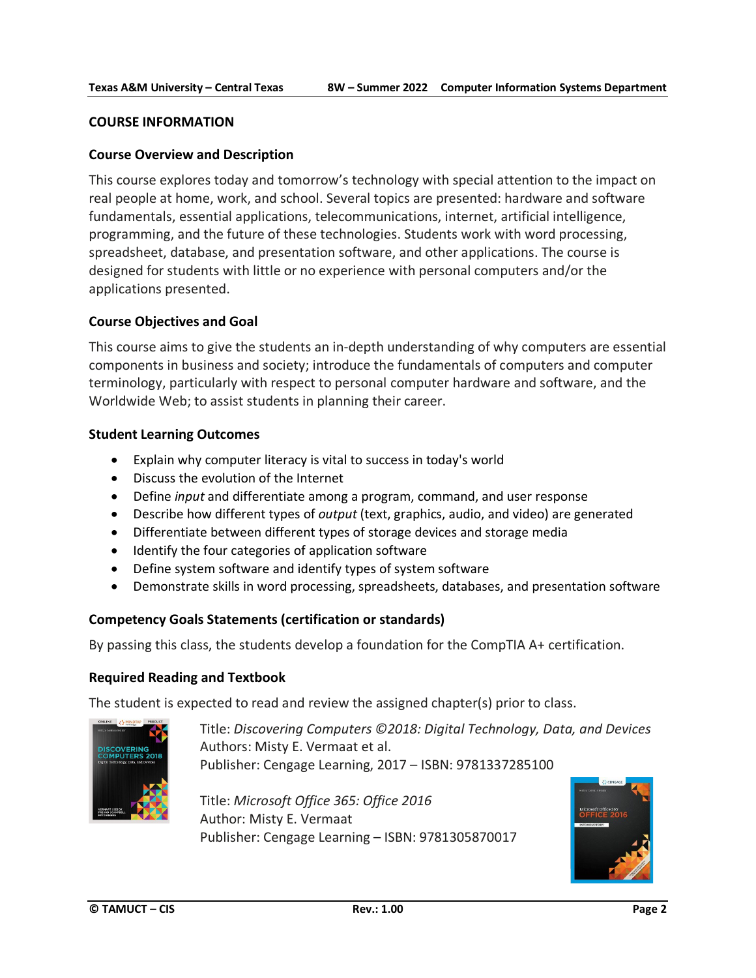#### **COURSE INFORMATION**

#### **Course Overview and Description**

This course explores today and tomorrow's technology with special attention to the impact on real people at home, work, and school. Several topics are presented: hardware and software fundamentals, essential applications, telecommunications, internet, artificial intelligence, programming, and the future of these technologies. Students work with word processing, spreadsheet, database, and presentation software, and other applications. The course is designed for students with little or no experience with personal computers and/or the applications presented.

#### **Course Objectives and Goal**

This course aims to give the students an in-depth understanding of why computers are essential components in business and society; introduce the fundamentals of computers and computer terminology, particularly with respect to personal computer hardware and software, and the Worldwide Web; to assist students in planning their career.

#### **Student Learning Outcomes**

- Explain why computer literacy is vital to success in today's world
- Discuss the evolution of the Internet
- Define *input* and differentiate among a program, command, and user response
- Describe how different types of *output* (text, graphics, audio, and video) are generated
- Differentiate between different types of storage devices and storage media
- Identify the four categories of application software
- Define system software and identify types of system software
- Demonstrate skills in word processing, spreadsheets, databases, and presentation software

#### **Competency Goals Statements (certification or standards)**

By passing this class, the students develop a foundation for the CompTIA A+ certification.

#### **Required Reading and Textbook**

The student is expected to read and review the assigned chapter(s) prior to class.



Title: *Discovering Computers ©2018: Digital Technology, Data, and Devices* Authors: Misty E. Vermaat et al. Publisher: Cengage Learning, 2017 – ISBN: 9781337285100

Title: *Microsoft Office 365: Office 2016* Author: Misty E. Vermaat Publisher: Cengage Learning – ISBN: 9781305870017

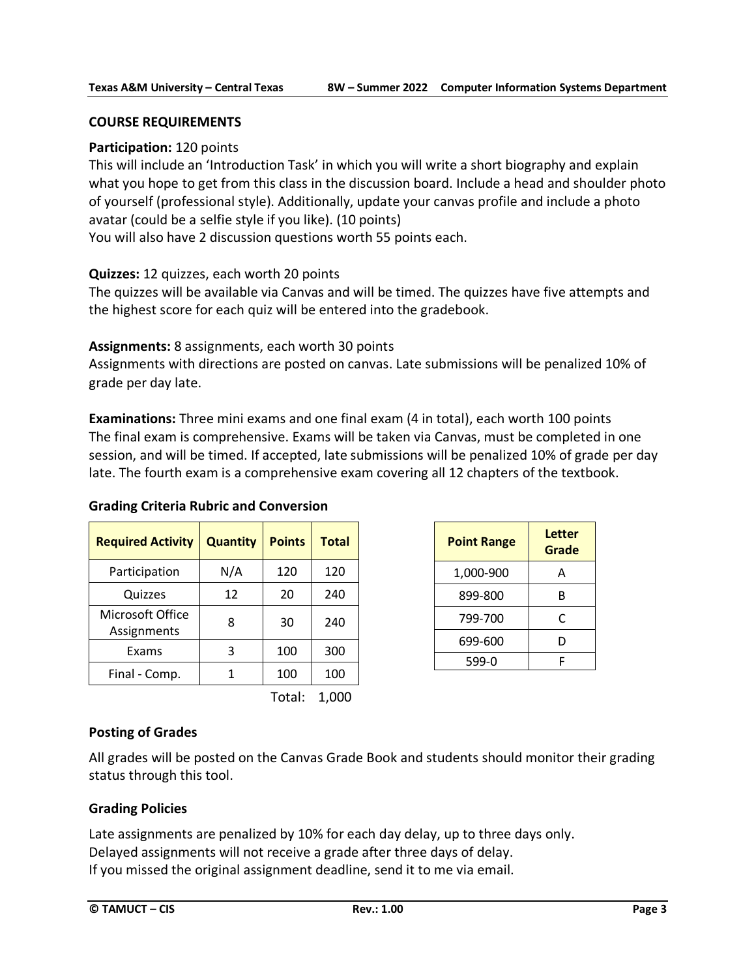### **COURSE REQUIREMENTS**

### **Participation:** 120 points

This will include an 'Introduction Task' in which you will write a short biography and explain what you hope to get from this class in the discussion board. Include a head and shoulder photo of yourself (professional style). Additionally, update your canvas profile and include a photo avatar (could be a selfie style if you like). (10 points)

You will also have 2 discussion questions worth 55 points each.

### **Quizzes:** 12 quizzes, each worth 20 points

The quizzes will be available via Canvas and will be timed. The quizzes have five attempts and the highest score for each quiz will be entered into the gradebook.

### **Assignments:** 8 assignments, each worth 30 points

Assignments with directions are posted on canvas. Late submissions will be penalized 10% of grade per day late.

**Examinations:** Three mini exams and one final exam (4 in total), each worth 100 points The final exam is comprehensive. Exams will be taken via Canvas, must be completed in one session, and will be timed. If accepted, late submissions will be penalized 10% of grade per day late. The fourth exam is a comprehensive exam covering all 12 chapters of the textbook.

#### **Grading Criteria Rubric and Conversion**

| <b>Required Activity</b>        | <b>Quantity</b> | <b>Points</b> | <b>Total</b> |
|---------------------------------|-----------------|---------------|--------------|
| Participation                   | N/A             | 120           | 120          |
| Quizzes                         | 12              | 20            | 240          |
| Microsoft Office<br>Assignments | 8               | 30            | 240          |
| Exams                           | 3               | 100           | 300          |
| Final - Comp.                   |                 | 100           | 100          |

Total: 1,000

| <b>Point Range</b> | Letter<br>Grade |
|--------------------|-----------------|
| 1,000-900          | А               |
| 899-800            | R               |
| 799-700            | C               |
| 699-600            | D               |
| 599-0              |                 |

# **Posting of Grades**

All grades will be posted on the Canvas Grade Book and students should monitor their grading status through this tool.

# **Grading Policies**

Late assignments are penalized by 10% for each day delay, up to three days only. Delayed assignments will not receive a grade after three days of delay. If you missed the original assignment deadline, send it to me via email.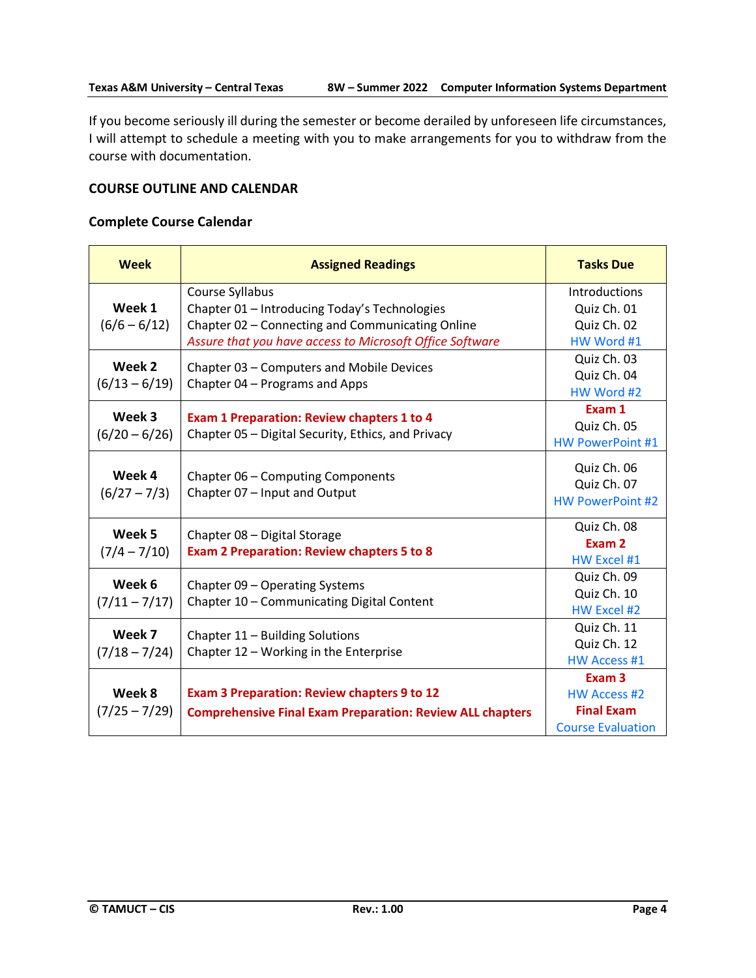If you become seriously ill during the semester or become derailed by unforeseen life circumstances, I will attempt to schedule a meeting with you to make arrangements for you to withdraw from the course with documentation.

#### **COURSE OUTLINE AND CALENDAR**

# **Complete Course Calendar**

| <b>Week</b>     | <b>Assigned Readings</b>                                                          | <b>Tasks Due</b>           |
|-----------------|-----------------------------------------------------------------------------------|----------------------------|
|                 | Course Syllabus                                                                   | Introductions              |
| Week 1          | Chapter 01 - Introducing Today's Technologies                                     | Quiz Ch. 01                |
| $(6/6 - 6/12)$  | Chapter 02 - Connecting and Communicating Online                                  | Quiz Ch. 02                |
|                 | Assure that you have access to Microsoft Office Software                          | HW Word #1                 |
| Week 2          | Chapter 03 - Computers and Mobile Devices                                         | Quiz Ch. 03<br>Quiz Ch. 04 |
| $(6/13 - 6/19)$ | Chapter 04 - Programs and Apps                                                    |                            |
|                 |                                                                                   | HW Word #2                 |
| Week 3          | <b>Exam 1 Preparation: Review chapters 1 to 4</b>                                 | Exam 1                     |
| $(6/20 - 6/26)$ | Chapter 05 - Digital Security, Ethics, and Privacy                                | Quiz Ch. 05                |
|                 |                                                                                   | <b>HW PowerPoint #1</b>    |
| Week 4          |                                                                                   | Quiz Ch. 06                |
|                 | Chapter 06 - Computing Components<br>Chapter 07 - Input and Output                | Quiz Ch. 07                |
| $(6/27 - 7/3)$  |                                                                                   | <b>HW PowerPoint #2</b>    |
| Week 5          |                                                                                   | Quiz Ch. 08                |
| $(7/4 - 7/10)$  | Chapter 08 - Digital Storage<br><b>Exam 2 Preparation: Review chapters 5 to 8</b> | Exam 2                     |
|                 |                                                                                   | HW Excel #1                |
| Week 6          | Chapter 09 - Operating Systems                                                    | Quiz Ch. 09                |
| $(7/11 - 7/17)$ | Chapter 10 - Communicating Digital Content                                        | Quiz Ch. 10                |
|                 |                                                                                   | HW Excel #2                |
| Week 7          | Chapter 11 - Building Solutions                                                   | Quiz Ch. 11                |
| $(7/18 - 7/24)$ | Chapter 12 - Working in the Enterprise                                            | Quiz Ch. 12                |
|                 |                                                                                   | <b>HW Access #1</b>        |
|                 |                                                                                   | Exam <sub>3</sub>          |
| Week 8          | <b>Exam 3 Preparation: Review chapters 9 to 12</b>                                | <b>HW Access #2</b>        |
| $(7/25 - 7/29)$ | <b>Comprehensive Final Exam Preparation: Review ALL chapters</b>                  | <b>Final Exam</b>          |
|                 |                                                                                   | <b>Course Evaluation</b>   |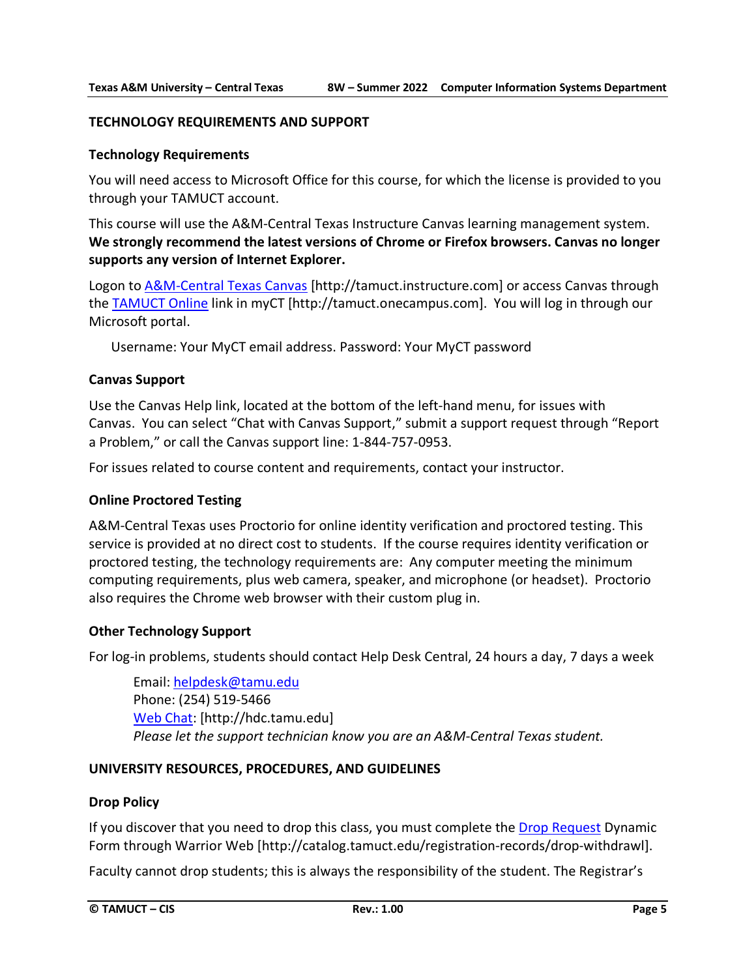#### **TECHNOLOGY REQUIREMENTS AND SUPPORT**

#### **Technology Requirements**

You will need access to Microsoft Office for this course, for which the license is provided to you through your TAMUCT account.

This course will use the A&M-Central Texas Instructure Canvas learning management system. **We strongly recommend the latest versions of Chrome or Firefox browsers. Canvas no longer supports any version of Internet Explorer.**

Logon to [A&M-Central Texas Canvas](https://tamuct.instructure.com/) [http://tamuct.instructure.com] or access Canvas through the [TAMUCT Online](http://tamuct.onecampus.com/) link in myCT [http://tamuct.onecampus.com]. You will log in through our Microsoft portal.

Username: Your MyCT email address. Password: Your MyCT password

#### **Canvas Support**

Use the Canvas Help link, located at the bottom of the left-hand menu, for issues with Canvas. You can select "Chat with Canvas Support," submit a support request through "Report a Problem," or call the Canvas support line: 1-844-757-0953.

For issues related to course content and requirements, contact your instructor.

#### **Online Proctored Testing**

A&M-Central Texas uses Proctorio for online identity verification and proctored testing. This service is provided at no direct cost to students. If the course requires identity verification or proctored testing, the technology requirements are: Any computer meeting the minimum computing requirements, plus web camera, speaker, and microphone (or headset). Proctorio also requires the Chrome web browser with their custom plug in.

#### **Other Technology Support**

For log-in problems, students should contact Help Desk Central, 24 hours a day, 7 days a week

Email[: helpdesk@tamu.edu](mailto:helpdesk@tamu.edu) Phone: (254) 519-5466 [Web Chat:](http://hdc.tamu.edu/) [http://hdc.tamu.edu] *Please let the support technician know you are an A&M-Central Texas student.*

#### **UNIVERSITY RESOURCES, PROCEDURES, AND GUIDELINES**

#### **Drop Policy**

If you discover that you need to drop this class, you must complete the [Drop Request](http://catalog.tamuct.edu/registration-records/drop-withdrawl) Dynamic Form through Warrior Web [\[http://catalog.tamuct.edu/registration-records/drop-withdrawl\]](http://catalog.tamuct.edu/registration-records/drop-withdrawl).

Faculty cannot drop students; this is always the responsibility of the student. The Registrar's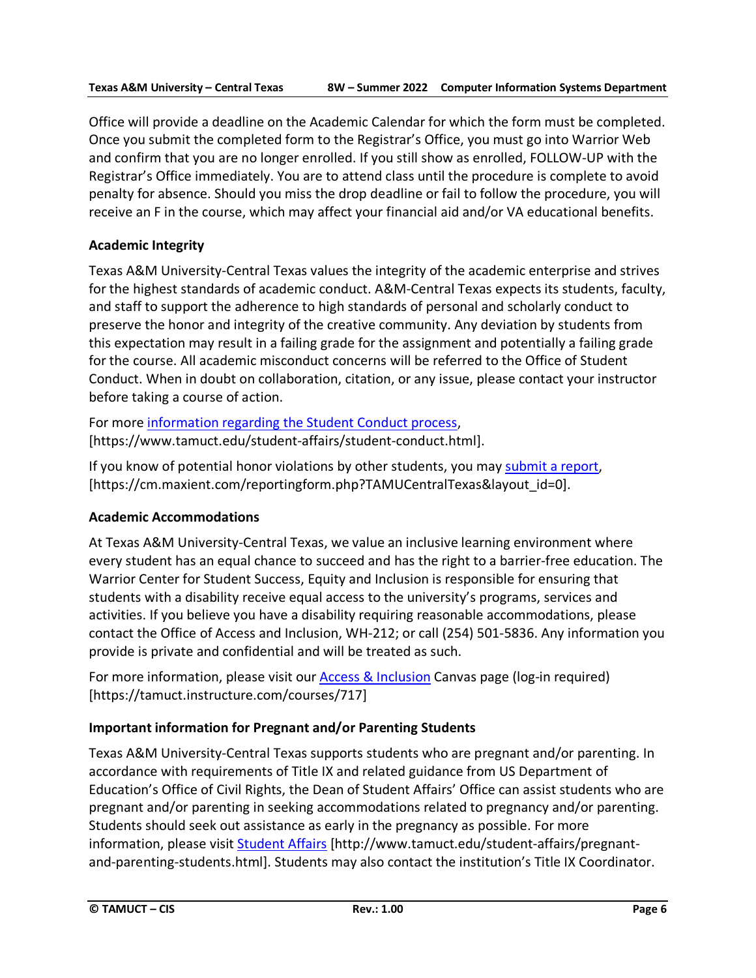Office will provide a deadline on the Academic Calendar for which the form must be completed. Once you submit the completed form to the Registrar's Office, you must go into Warrior Web and confirm that you are no longer enrolled. If you still show as enrolled, FOLLOW-UP with the Registrar's Office immediately. You are to attend class until the procedure is complete to avoid penalty for absence. Should you miss the drop deadline or fail to follow the procedure, you will receive an F in the course, which may affect your financial aid and/or VA educational benefits.

# **Academic Integrity**

Texas A&M University-Central Texas values the integrity of the academic enterprise and strives for the highest standards of academic conduct. A&M-Central Texas expects its students, faculty, and staff to support the adherence to high standards of personal and scholarly conduct to preserve the honor and integrity of the creative community. Any deviation by students from this expectation may result in a failing grade for the assignment and potentially a failing grade for the course. All academic misconduct concerns will be referred to the Office of Student Conduct. When in doubt on collaboration, citation, or any issue, please contact your instructor before taking a course of action.

For more [information](https://nam04.safelinks.protection.outlook.com/?url=https%3A%2F%2Fwww.tamuct.edu%2Fstudent-affairs%2Fstudent-conduct.html&data=04%7C01%7Clisa.bunkowski%40tamuct.edu%7Ccfb6e486f24745f53e1a08d910055cb2%7C9eed4e3000f744849ff193ad8005acec%7C0%7C0%7C637558437485252160%7CUnknown%7CTWFpbGZsb3d8eyJWIjoiMC4wLjAwMDAiLCJQIjoiV2luMzIiLCJBTiI6Ik1haWwiLCJXVCI6Mn0%3D%7C1000&sdata=yjftDEVHvLX%2FhM%2FcFU0B99krV1RgEWR%2BJ%2BhvtoR6TYk%3D&reserved=0) regarding the Student Conduct process, [https://www.tamuct.edu/student-affairs/student-conduct.html].

If you know of potential honor violations by other students, you may [submit](https://nam04.safelinks.protection.outlook.com/?url=https%3A%2F%2Fcm.maxient.com%2Freportingform.php%3FTAMUCentralTexas%26layout_id%3D0&data=04%7C01%7Clisa.bunkowski%40tamuct.edu%7Ccfb6e486f24745f53e1a08d910055cb2%7C9eed4e3000f744849ff193ad8005acec%7C0%7C0%7C637558437485262157%7CUnknown%7CTWFpbGZsb3d8eyJWIjoiMC4wLjAwMDAiLCJQIjoiV2luMzIiLCJBTiI6Ik1haWwiLCJXVCI6Mn0%3D%7C1000&sdata=CXGkOa6uPDPX1IMZ87z3aZDq2n91xfHKu4MMS43Ejjk%3D&reserved=0) a report, [https://cm.maxient.com/reportingform.php?TAMUCentralTexas&layout\_id=0].

# **Academic Accommodations**

At Texas A&M University-Central Texas, we value an inclusive learning environment where every student has an equal chance to succeed and has the right to a barrier-free education. The Warrior Center for Student Success, Equity and Inclusion is responsible for ensuring that students with a disability receive equal access to the university's programs, services and activities. If you believe you have a disability requiring reasonable accommodations, please contact the Office of Access and Inclusion, WH-212; or call (254) 501-5836. Any information you provide is private and confidential and will be treated as such.

For more information, please visit our [Access & Inclusion](https://tamuct.instructure.com/courses/717) Canvas page (log-in required) [https://tamuct.instructure.com/courses/717]

# **Important information for Pregnant and/or Parenting Students**

Texas A&M University-Central Texas supports students who are pregnant and/or parenting. In accordance with requirements of Title IX and related guidance from US Department of Education's Office of Civil Rights, the Dean of Student Affairs' Office can assist students who are pregnant and/or parenting in seeking accommodations related to pregnancy and/or parenting. Students should seek out assistance as early in the pregnancy as possible. For more information, please visit [Student Affairs](https://www.tamuct.edu/student-affairs/pregnant-and-parenting-students.html) [http://www.tamuct.edu/student-affairs/pregnantand-parenting-students.html]. Students may also contact the institution's Title IX Coordinator.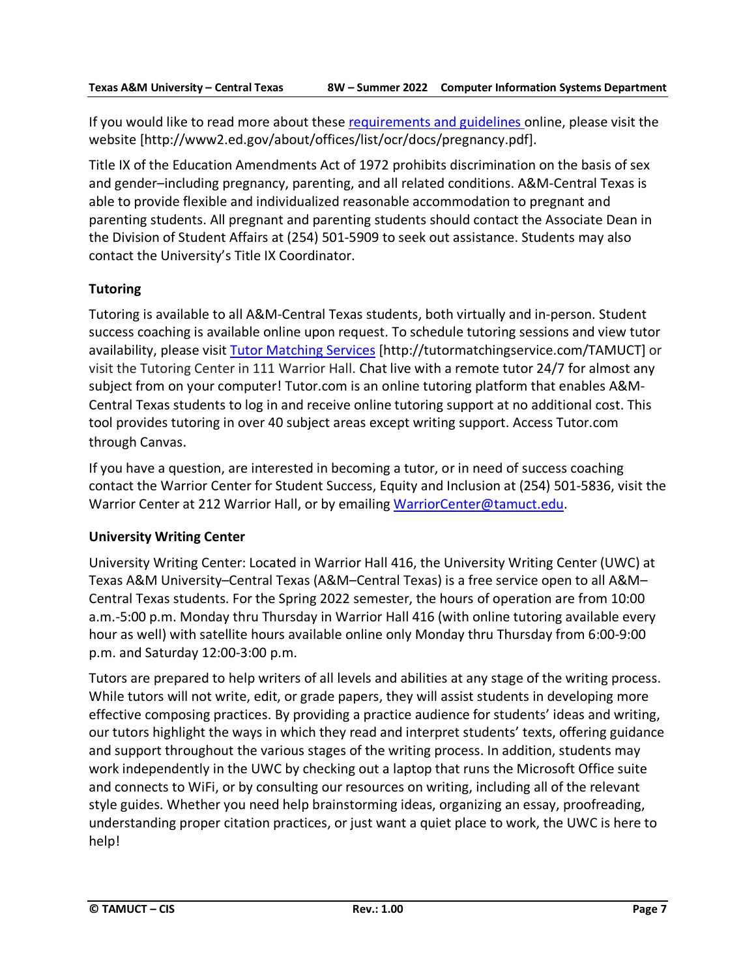If you would like to read more about these [requirements and guidelines](http://www2.ed.gov/about/offices/list/ocr/docs/pregnancy.pdf) online, please visit the website [http://www2.ed.gov/about/offices/list/ocr/docs/pregnancy.pdf].

Title IX of the Education Amendments Act of 1972 prohibits discrimination on the basis of sex and gender–including pregnancy, parenting, and all related conditions. A&M-Central Texas is able to provide flexible and individualized reasonable accommodation to pregnant and parenting students. All pregnant and parenting students should contact the Associate Dean in the Division of Student Affairs at (254) 501-5909 to seek out assistance. Students may also contact the University's Title IX Coordinator.

# **Tutoring**

Tutoring is available to all A&M-Central Texas students, both virtually and in-person. Student success coaching is available online upon request. To schedule tutoring sessions and view tutor availability, please visit Tutor [Matching](https://tutormatchingservice.com/TAMUCT) Services [http://tutormatchingservice.com/TAMUCT] or visit the Tutoring Center in 111 Warrior Hall. Chat live with a remote tutor 24/7 for almost any subject from on your computer! Tutor.com is an online tutoring platform that enables A&M-Central Texas students to log in and receive online tutoring support at no additional cost. This tool provides tutoring in over 40 subject areas except writing support. Access Tutor.com through Canvas.

If you have a question, are interested in becoming a tutor, or in need of success coaching contact the Warrior Center for Student Success, Equity and Inclusion at (254) 501-5836, visit the Warrior Center at 212 Warrior Hall, or by emailing [WarriorCenter@tamuct.edu.](mailto:WarriorCenter@tamuct.edu)

# **University Writing Center**

University Writing Center: Located in Warrior Hall 416, the University Writing Center (UWC) at Texas A&M University–Central Texas (A&M–Central Texas) is a free service open to all A&M– Central Texas students. For the Spring 2022 semester, the hours of operation are from 10:00 a.m.-5:00 p.m. Monday thru Thursday in Warrior Hall 416 (with online tutoring available every hour as well) with satellite hours available online only Monday thru Thursday from 6:00-9:00 p.m. and Saturday 12:00-3:00 p.m.

Tutors are prepared to help writers of all levels and abilities at any stage of the writing process. While tutors will not write, edit, or grade papers, they will assist students in developing more effective composing practices. By providing a practice audience for students' ideas and writing, our tutors highlight the ways in which they read and interpret students' texts, offering guidance and support throughout the various stages of the writing process. In addition, students may work independently in the UWC by checking out a laptop that runs the Microsoft Office suite and connects to WiFi, or by consulting our resources on writing, including all of the relevant style guides. Whether you need help brainstorming ideas, organizing an essay, proofreading, understanding proper citation practices, or just want a quiet place to work, the UWC is here to help!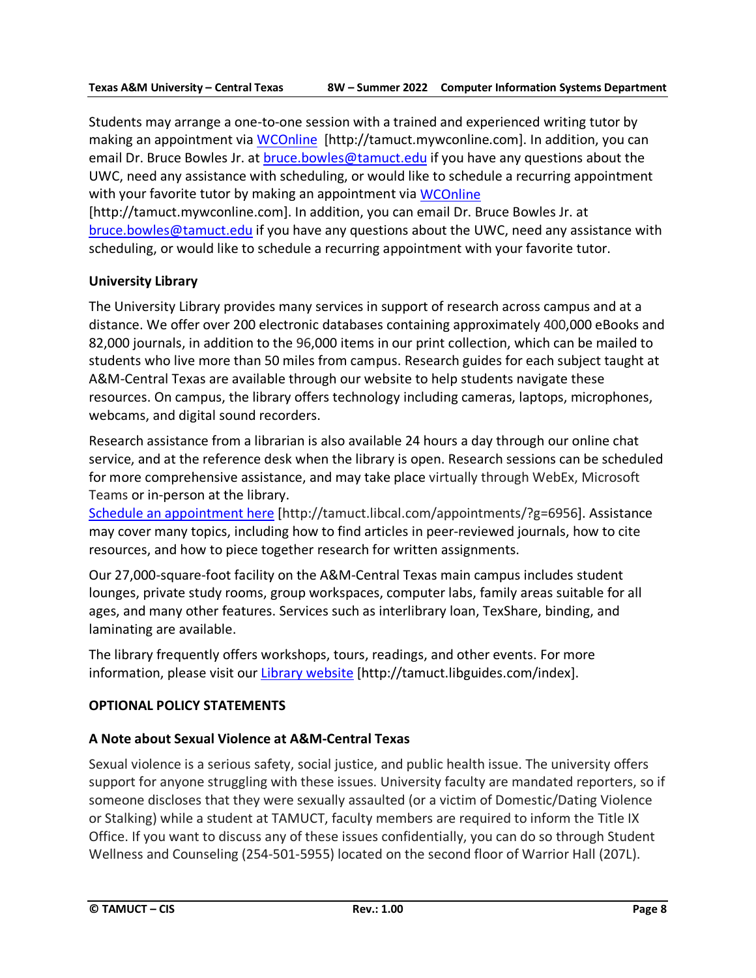Students may arrange a one-to-one session with a trained and experienced writing tutor by making an appointment via [WCOnline](https://tamuct.mywconline.com/) [http://tamuct.mywconline.com]. In addition, you can email Dr. Bruce Bowles Jr. at [bruce.bowles@tamuct.edu](mailto:bruce.bowles@tamuct.edu) if you have any questions about the UWC, need any assistance with scheduling, or would like to schedule a recurring appointment with your favorite tutor by making an appointment via [WCOnline](https://tamuct.mywconline.com/)

[http://tamuct.mywconline.com]. In addition, you can email Dr. Bruce Bowles Jr. at [bruce.bowles@tamuct.edu](mailto:bruce.bowles@tamuct.edu) if you have any questions about the UWC, need any assistance with scheduling, or would like to schedule a recurring appointment with your favorite tutor.

# **University Library**

The University Library provides many services in support of research across campus and at a distance. We offer over 200 electronic databases containing approximately 400,000 eBooks and 82,000 journals, in addition to the 96,000 items in our print collection, which can be mailed to students who live more than 50 miles from campus. Research guides for each subject taught at A&M-Central Texas are available through our website to help students navigate these resources. On campus, the library offers technology including cameras, laptops, microphones, webcams, and digital sound recorders.

Research assistance from a librarian is also available 24 hours a day through our online chat service, and at the reference desk when the library is open. Research sessions can be scheduled for more comprehensive assistance, and may take place virtually through WebEx, Microsoft Teams or in-person at the library.

Schedule an [appointment](https://nam04.safelinks.protection.outlook.com/?url=https%3A%2F%2Ftamuct.libcal.com%2Fappointments%2F%3Fg%3D6956&data=04%7C01%7Clisa.bunkowski%40tamuct.edu%7Cde2c07d9f5804f09518008d9ab7ba6ff%7C9eed4e3000f744849ff193ad8005acec%7C0%7C0%7C637729369835011558%7CUnknown%7CTWFpbGZsb3d8eyJWIjoiMC4wLjAwMDAiLCJQIjoiV2luMzIiLCJBTiI6Ik1haWwiLCJXVCI6Mn0%3D%7C3000&sdata=KhtjgRSAw9aq%2FoBsB6wyu8b7PSuGN5EGPypzr3Ty2No%3D&reserved=0) here [http://tamuct.libcal.com/appointments/?g=6956]. Assistance may cover many topics, including how to find articles in peer-reviewed journals, how to cite resources, and how to piece together research for written assignments.

Our 27,000-square-foot facility on the A&M-Central Texas main campus includes student lounges, private study rooms, group workspaces, computer labs, family areas suitable for all ages, and many other features. Services such as interlibrary loan, TexShare, binding, and laminating are available.

The library frequently offers workshops, tours, readings, and other events. For more information, please visit our Library [website](https://nam04.safelinks.protection.outlook.com/?url=https%3A%2F%2Ftamuct.libguides.com%2Findex&data=04%7C01%7Clisa.bunkowski%40tamuct.edu%7C7d8489e8839a4915335f08d916f067f2%7C9eed4e3000f744849ff193ad8005acec%7C0%7C0%7C637566044056484222%7CUnknown%7CTWFpbGZsb3d8eyJWIjoiMC4wLjAwMDAiLCJQIjoiV2luMzIiLCJBTiI6Ik1haWwiLCJXVCI6Mn0%3D%7C1000&sdata=2R755V6rcIyedGrd4Os5rkgn1PvhHKU3kUV1vBKiHFo%3D&reserved=0) [http://tamuct.libguides.com/index].

# **OPTIONAL POLICY STATEMENTS**

# **A Note about Sexual Violence at A&M-Central Texas**

Sexual violence is a serious safety, social justice, and public health issue. The university offers support for anyone struggling with these issues. University faculty are mandated reporters, so if someone discloses that they were sexually assaulted (or a victim of Domestic/Dating Violence or Stalking) while a student at TAMUCT, faculty members are required to inform the Title IX Office. If you want to discuss any of these issues confidentially, you can do so through Student Wellness and Counseling (254-501-5955) located on the second floor of Warrior Hall (207L).